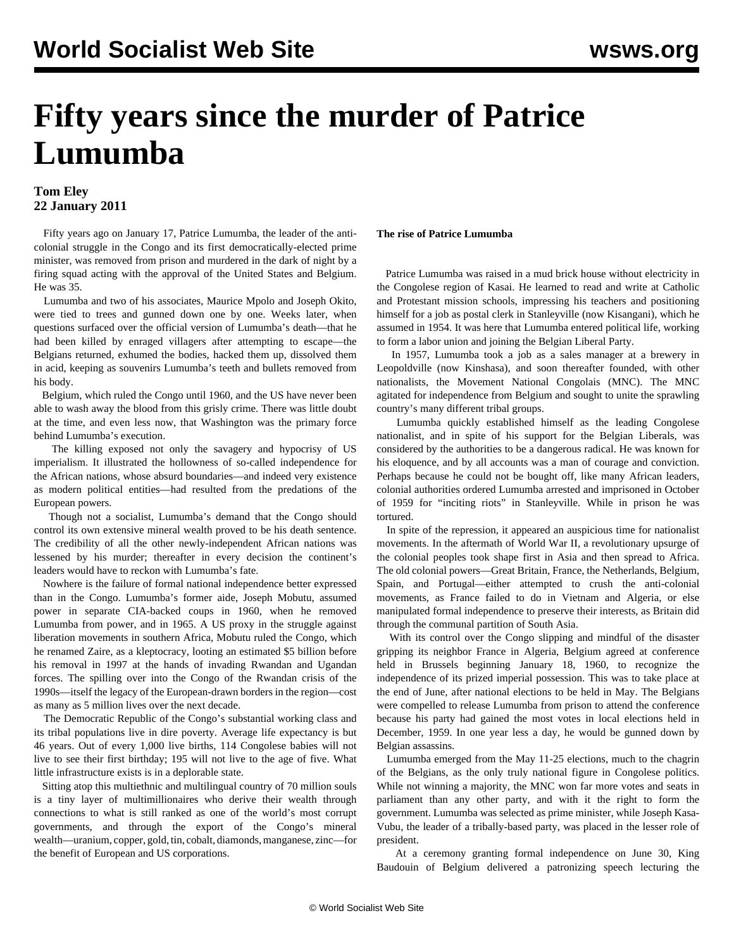# **Fifty years since the murder of Patrice Lumumba**

### **Tom Eley 22 January 2011**

 Fifty years ago on January 17, Patrice Lumumba, the leader of the anticolonial struggle in the Congo and its first democratically-elected prime minister, was removed from prison and murdered in the dark of night by a firing squad acting with the approval of the United States and Belgium. He was 35.

 Lumumba and two of his associates, Maurice Mpolo and Joseph Okito, were tied to trees and gunned down one by one. Weeks later, when questions surfaced over the official version of Lumumba's death—that he had been killed by enraged villagers after attempting to escape—the Belgians returned, exhumed the bodies, hacked them up, dissolved them in acid, keeping as souvenirs Lumumba's teeth and bullets removed from his body.

 Belgium, which ruled the Congo until 1960, and the US have never been able to wash away the blood from this grisly crime. There was little doubt at the time, and even less now, that Washington was the primary force behind Lumumba's execution.

 The killing exposed not only the savagery and hypocrisy of US imperialism. It illustrated the hollowness of so-called independence for the African nations, whose absurd boundaries—and indeed very existence as modern political entities—had resulted from the predations of the European powers.

 Though not a socialist, Lumumba's demand that the Congo should control its own extensive mineral wealth proved to be his death sentence. The credibility of all the other newly-independent African nations was lessened by his murder; thereafter in every decision the continent's leaders would have to reckon with Lumumba's fate.

 Nowhere is the failure of formal national independence better expressed than in the Congo. Lumumba's former aide, Joseph Mobutu, assumed power in separate CIA-backed coups in 1960, when he removed Lumumba from power, and in 1965. A US proxy in the struggle against liberation movements in southern Africa, Mobutu ruled the Congo, which he renamed Zaire, as a kleptocracy, looting an estimated \$5 billion before his removal in 1997 at the hands of invading Rwandan and Ugandan forces. The spilling over into the Congo of the Rwandan crisis of the 1990s—itself the legacy of the European-drawn borders in the region—cost as many as 5 million lives over the next decade.

 The Democratic Republic of the Congo's substantial working class and its tribal populations live in dire poverty. Average life expectancy is but 46 years. Out of every 1,000 live births, 114 Congolese babies will not live to see their first birthday; 195 will not live to the age of five. What little infrastructure exists is in a deplorable state.

 Sitting atop this multiethnic and multilingual country of 70 million souls is a tiny layer of multimillionaires who derive their wealth through connections to what is still ranked as one of the world's most corrupt governments, and through the export of the Congo's mineral wealth—uranium, copper, gold, tin, cobalt, diamonds, manganese, zinc—for the benefit of European and US corporations.

#### **The rise of Patrice Lumumba**

 Patrice Lumumba was raised in a mud brick house without electricity in the Congolese region of Kasai. He learned to read and write at Catholic and Protestant mission schools, impressing his teachers and positioning himself for a job as postal clerk in Stanleyville (now Kisangani), which he assumed in 1954. It was here that Lumumba entered political life, working to form a labor union and joining the Belgian Liberal Party.

 In 1957, Lumumba took a job as a sales manager at a brewery in Leopoldville (now Kinshasa), and soon thereafter founded, with other nationalists, the Movement National Congolais (MNC). The MNC agitated for independence from Belgium and sought to unite the sprawling country's many different tribal groups.

 Lumumba quickly established himself as the leading Congolese nationalist, and in spite of his support for the Belgian Liberals, was considered by the authorities to be a dangerous radical. He was known for his eloquence, and by all accounts was a man of courage and conviction. Perhaps because he could not be bought off, like many African leaders, colonial authorities ordered Lumumba arrested and imprisoned in October of 1959 for "inciting riots" in Stanleyville. While in prison he was tortured.

 In spite of the repression, it appeared an auspicious time for nationalist movements. In the aftermath of World War II, a revolutionary upsurge of the colonial peoples took shape first in Asia and then spread to Africa. The old colonial powers—Great Britain, France, the Netherlands, Belgium, Spain, and Portugal—either attempted to crush the anti-colonial movements, as France failed to do in Vietnam and Algeria, or else manipulated formal independence to preserve their interests, as Britain did through the communal partition of South Asia.

 With its control over the Congo slipping and mindful of the disaster gripping its neighbor France in Algeria, Belgium agreed at conference held in Brussels beginning January 18, 1960, to recognize the independence of its prized imperial possession. This was to take place at the end of June, after national elections to be held in May. The Belgians were compelled to release Lumumba from prison to attend the conference because his party had gained the most votes in local elections held in December, 1959. In one year less a day, he would be gunned down by Belgian assassins.

 Lumumba emerged from the May 11-25 elections, much to the chagrin of the Belgians, as the only truly national figure in Congolese politics. While not winning a majority, the MNC won far more votes and seats in parliament than any other party, and with it the right to form the government. Lumumba was selected as prime minister, while Joseph Kasa-Vubu, the leader of a tribally-based party, was placed in the lesser role of president.

 At a ceremony granting formal independence on June 30, King Baudouin of Belgium delivered a patronizing speech lecturing the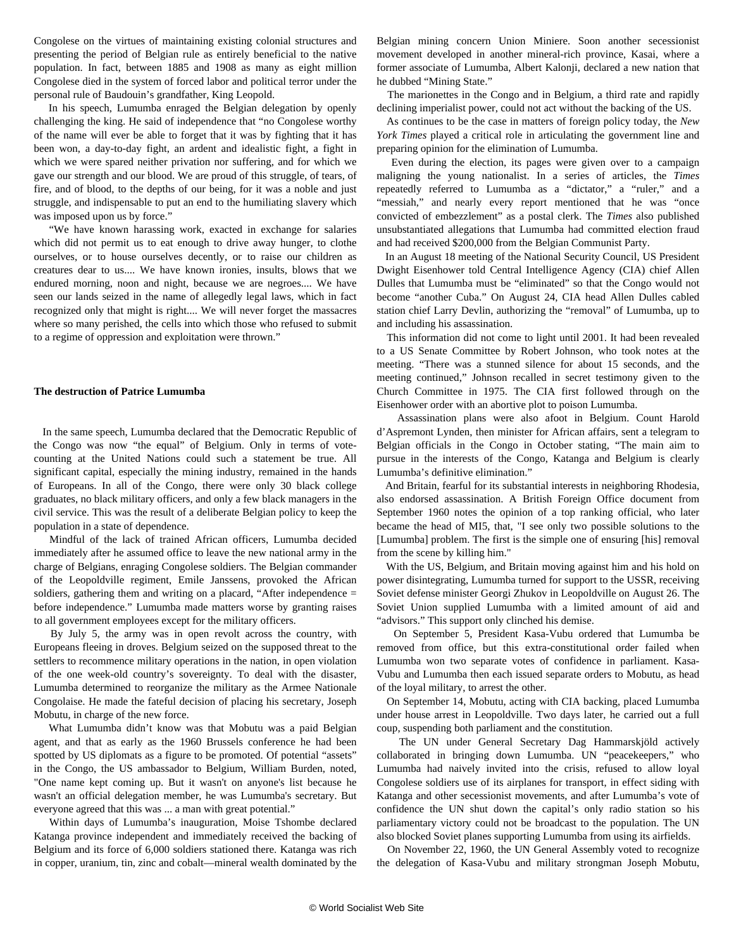Congolese on the virtues of maintaining existing colonial structures and presenting the period of Belgian rule as entirely beneficial to the native population. In fact, between 1885 and 1908 as many as eight million Congolese died in the system of forced labor and political terror under the personal rule of Baudouin's grandfather, King Leopold.

 In his speech, Lumumba enraged the Belgian delegation by openly challenging the king. He said of independence that "no Congolese worthy of the name will ever be able to forget that it was by fighting that it has been won, a day-to-day fight, an ardent and idealistic fight, a fight in which we were spared neither privation nor suffering, and for which we gave our strength and our blood. We are proud of this struggle, of tears, of fire, and of blood, to the depths of our being, for it was a noble and just struggle, and indispensable to put an end to the humiliating slavery which was imposed upon us by force."

 "We have known harassing work, exacted in exchange for salaries which did not permit us to eat enough to drive away hunger, to clothe ourselves, or to house ourselves decently, or to raise our children as creatures dear to us.... We have known ironies, insults, blows that we endured morning, noon and night, because we are negroes.... We have seen our lands seized in the name of allegedly legal laws, which in fact recognized only that might is right.... We will never forget the massacres where so many perished, the cells into which those who refused to submit to a regime of oppression and exploitation were thrown."

#### **The destruction of Patrice Lumumba**

 In the same speech, Lumumba declared that the Democratic Republic of the Congo was now "the equal" of Belgium. Only in terms of votecounting at the United Nations could such a statement be true. All significant capital, especially the mining industry, remained in the hands of Europeans. In all of the Congo, there were only 30 black college graduates, no black military officers, and only a few black managers in the civil service. This was the result of a deliberate Belgian policy to keep the population in a state of dependence.

 Mindful of the lack of trained African officers, Lumumba decided immediately after he assumed office to leave the new national army in the charge of Belgians, enraging Congolese soldiers. The Belgian commander of the Leopoldville regiment, Emile Janssens, provoked the African soldiers, gathering them and writing on a placard, "After independence = before independence." Lumumba made matters worse by granting raises to all government employees except for the military officers.

 By July 5, the army was in open revolt across the country, with Europeans fleeing in droves. Belgium seized on the supposed threat to the settlers to recommence military operations in the nation, in open violation of the one week-old country's sovereignty. To deal with the disaster, Lumumba determined to reorganize the military as the Armee Nationale Congolaise. He made the fateful decision of placing his secretary, Joseph Mobutu, in charge of the new force.

 What Lumumba didn't know was that Mobutu was a paid Belgian agent, and that as early as the 1960 Brussels conference he had been spotted by US diplomats as a figure to be promoted. Of potential "assets" in the Congo, the US ambassador to Belgium, William Burden, noted, "One name kept coming up. But it wasn't on anyone's list because he wasn't an official delegation member, he was Lumumba's secretary. But everyone agreed that this was ... a man with great potential."

 Within days of Lumumba's inauguration, Moise Tshombe declared Katanga province independent and immediately received the backing of Belgium and its force of 6,000 soldiers stationed there. Katanga was rich in copper, uranium, tin, zinc and cobalt—mineral wealth dominated by the Belgian mining concern Union Miniere. Soon another secessionist movement developed in another mineral-rich province, Kasai, where a former associate of Lumumba, Albert Kalonji, declared a new nation that he dubbed "Mining State."

 The marionettes in the Congo and in Belgium, a third rate and rapidly declining imperialist power, could not act without the backing of the US.

 As continues to be the case in matters of foreign policy today, the *New York Times* played a critical role in articulating the government line and preparing opinion for the elimination of Lumumba.

 Even during the election, its pages were given over to a campaign maligning the young nationalist. In a series of articles, the *Times* repeatedly referred to Lumumba as a "dictator," a "ruler," and a "messiah," and nearly every report mentioned that he was "once convicted of embezzlement" as a postal clerk. The *Times* also published unsubstantiated allegations that Lumumba had committed election fraud and had received \$200,000 from the Belgian Communist Party.

 In an August 18 meeting of the National Security Council, US President Dwight Eisenhower told Central Intelligence Agency (CIA) chief Allen Dulles that Lumumba must be "eliminated" so that the Congo would not become "another Cuba." On August 24, CIA head Allen Dulles cabled station chief Larry Devlin, authorizing the "removal" of Lumumba, up to and including his assassination.

 This information did not come to light until 2001. It had been revealed to a US Senate Committee by Robert Johnson, who took notes at the meeting. "There was a stunned silence for about 15 seconds, and the meeting continued," Johnson recalled in secret testimony given to the Church Committee in 1975. The CIA first followed through on the Eisenhower order with an abortive plot to poison Lumumba.

 Assassination plans were also afoot in Belgium. Count Harold d'Aspremont Lynden, then minister for African affairs, sent a telegram to Belgian officials in the Congo in October stating, "The main aim to pursue in the interests of the Congo, Katanga and Belgium is clearly Lumumba's definitive elimination."

 And Britain, fearful for its substantial interests in neighboring Rhodesia, also endorsed assassination. A British Foreign Office document from September 1960 notes the opinion of a top ranking official, who later became the head of MI5, that, "I see only two possible solutions to the [Lumumba] problem. The first is the simple one of ensuring [his] removal from the scene by killing him."

 With the US, Belgium, and Britain moving against him and his hold on power disintegrating, Lumumba turned for support to the USSR, receiving Soviet defense minister Georgi Zhukov in Leopoldville on August 26. The Soviet Union supplied Lumumba with a limited amount of aid and "advisors." This support only clinched his demise.

 On September 5, President Kasa-Vubu ordered that Lumumba be removed from office, but this extra-constitutional order failed when Lumumba won two separate votes of confidence in parliament. Kasa-Vubu and Lumumba then each issued separate orders to Mobutu, as head of the loyal military, to arrest the other.

 On September 14, Mobutu, acting with CIA backing, placed Lumumba under house arrest in Leopoldville. Two days later, he carried out a full coup, suspending both parliament and the constitution.

 The UN under General Secretary Dag Hammarskjöld actively collaborated in bringing down Lumumba. UN "peacekeepers," who Lumumba had naively invited into the crisis, refused to allow loyal Congolese soldiers use of its airplanes for transport, in effect siding with Katanga and other secessionist movements, and after Lumumba's vote of confidence the UN shut down the capital's only radio station so his parliamentary victory could not be broadcast to the population. The UN also blocked Soviet planes supporting Lumumba from using its airfields.

 On November 22, 1960, the UN General Assembly voted to recognize the delegation of Kasa-Vubu and military strongman Joseph Mobutu,